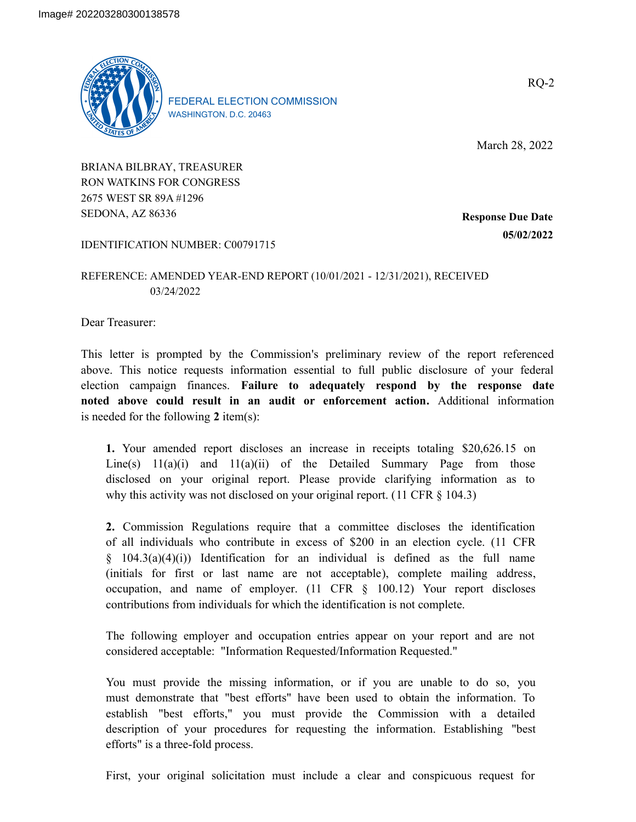

FEDERAL ELECTION COMMISSION WASHINGTON, D.C. 20463

March 28, 2022

RQ-2

BRIANA BILBRAY, TREASURER RON WATKINS FOR CONGRESS 2675 WEST SR 89A #1296 SEDONA, AZ 86336

**Response Due Date 05/02/2022**

## IDENTIFICATION NUMBER: C00791715

## REFERENCE: AMENDED YEAR-END REPORT (10/01/2021 - 12/31/2021), RECEIVED 03/24/2022

Dear Treasurer:

This letter is prompted by the Commission's preliminary review of the report referenced above. This notice requests information essential to full public disclosure of your federal election campaign finances. **Failure to adequately respond by the response date noted above could result in an audit or enforcement action.** Additional information is needed for the following **2** item(s):

**1.** Your amended report discloses an increase in receipts totaling \$20,626.15 on Line(s)  $11(a)(i)$  and  $11(a)(ii)$  of the Detailed Summary Page from those disclosed on your original report. Please provide clarifying information as to why this activity was not disclosed on your original report. (11 CFR § 104.3)

**2.** Commission Regulations require that a committee discloses the identification of all individuals who contribute in excess of \$200 in an election cycle. (11 CFR § 104.3(a)(4)(i)) Identification for an individual is defined as the full name (initials for first or last name are not acceptable), complete mailing address, occupation, and name of employer. (11 CFR § 100.12) Your report discloses contributions from individuals for which the identification is not complete.

The following employer and occupation entries appear on your report and are not considered acceptable: "Information Requested/Information Requested."

You must provide the missing information, or if you are unable to do so, you must demonstrate that "best efforts" have been used to obtain the information. To establish "best efforts," you must provide the Commission with a detailed description of your procedures for requesting the information. Establishing "best efforts" is a three-fold process.

First, your original solicitation must include a clear and conspicuous request for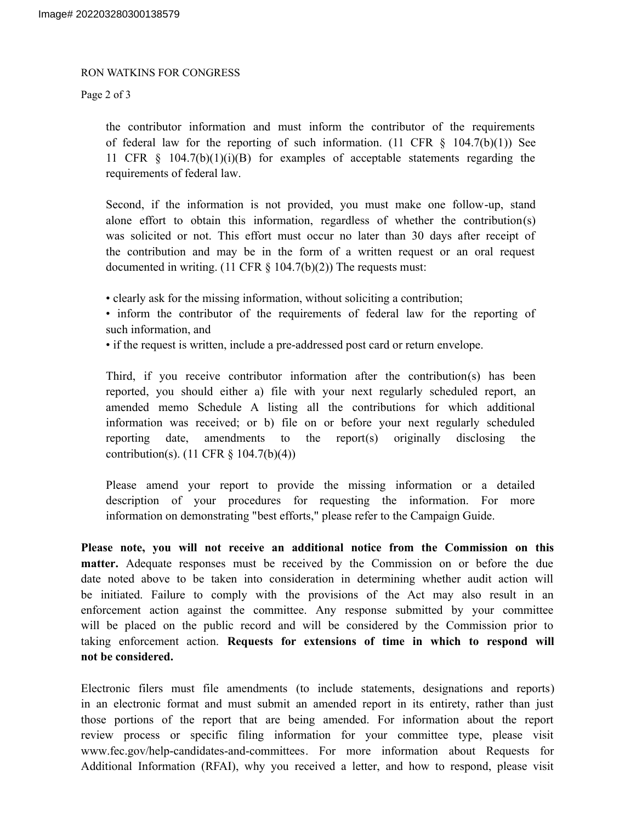## RON WATKINS FOR CONGRESS

Page 2 of 3

the contributor information and must inform the contributor of the requirements of federal law for the reporting of such information. (11 CFR  $\S$  104.7(b)(1)) See 11 CFR  $\S$  104.7(b)(1)(i)(B) for examples of acceptable statements regarding the requirements of federal law.

Second, if the information is not provided, you must make one follow-up, stand alone effort to obtain this information, regardless of whether the contribution(s) was solicited or not. This effort must occur no later than 30 days after receipt of the contribution and may be in the form of a written request or an oral request documented in writing. (11 CFR  $\S$  104.7(b)(2)) The requests must:

• clearly ask for the missing information, without soliciting a contribution;

• inform the contributor of the requirements of federal law for the reporting of such information, and

• if the request is written, include a pre-addressed post card or return envelope.

Third, if you receive contributor information after the contribution(s) has been reported, you should either a) file with your next regularly scheduled report, an amended memo Schedule A listing all the contributions for which additional information was received; or b) file on or before your next regularly scheduled reporting date, amendments to the report(s) originally disclosing the contribution(s). (11 CFR § 104.7(b)(4))

Please amend your report to provide the missing information or a detailed description of your procedures for requesting the information. For more information on demonstrating "best efforts," please refer to the Campaign Guide.

**Please note, you will not receive an additional notice from the Commission on this matter.** Adequate responses must be received by the Commission on or before the due date noted above to be taken into consideration in determining whether audit action will be initiated. Failure to comply with the provisions of the Act may also result in an enforcement action against the committee. Any response submitted by your committee will be placed on the public record and will be considered by the Commission prior to taking enforcement action. **Requests for extensions of time in which to respond will not be considered.**

Electronic filers must file amendments (to include statements, designations and reports) in an electronic format and must submit an amended report in its entirety, rather than just those portions of the report that are being amended. For information about the report review process or specific filing information for your committee type, please visit www.fec.gov/help-candidates-and-committees. For more information about Requests for Additional Information (RFAI), why you received a letter, and how to respond, please visit